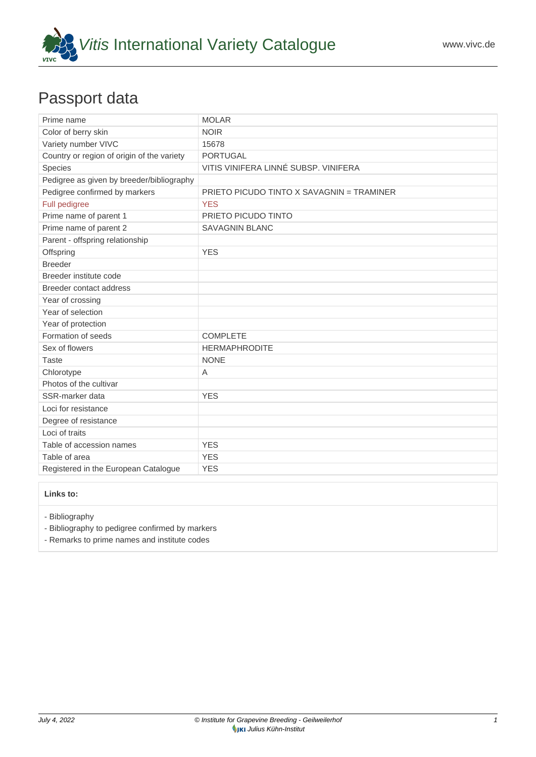

## Passport data

| Prime name                                 | <b>MOLAR</b>                              |
|--------------------------------------------|-------------------------------------------|
| Color of berry skin                        | <b>NOIR</b>                               |
| Variety number VIVC                        | 15678                                     |
| Country or region of origin of the variety | <b>PORTUGAL</b>                           |
| Species                                    | VITIS VINIFERA LINNÉ SUBSP. VINIFERA      |
| Pedigree as given by breeder/bibliography  |                                           |
| Pedigree confirmed by markers              | PRIETO PICUDO TINTO X SAVAGNIN = TRAMINER |
| Full pedigree                              | <b>YES</b>                                |
| Prime name of parent 1                     | PRIETO PICUDO TINTO                       |
| Prime name of parent 2                     | <b>SAVAGNIN BLANC</b>                     |
| Parent - offspring relationship            |                                           |
| Offspring                                  | <b>YES</b>                                |
| <b>Breeder</b>                             |                                           |
| Breeder institute code                     |                                           |
| Breeder contact address                    |                                           |
| Year of crossing                           |                                           |
| Year of selection                          |                                           |
| Year of protection                         |                                           |
| Formation of seeds                         | <b>COMPLETE</b>                           |
| Sex of flowers                             | <b>HERMAPHRODITE</b>                      |
| <b>Taste</b>                               | <b>NONE</b>                               |
| Chlorotype                                 | A                                         |
| Photos of the cultivar                     |                                           |
| SSR-marker data                            | <b>YES</b>                                |
| Loci for resistance                        |                                           |
| Degree of resistance                       |                                           |
| Loci of traits                             |                                           |
| Table of accession names                   | <b>YES</b>                                |
| Table of area                              | <b>YES</b>                                |
| Registered in the European Catalogue       | <b>YES</b>                                |

**Links to:**

- [Bibliography](https://www.vivc.de/index.php?r=literaturverweise%2Fbibliography&LiteraturverweiseSearch[kenn_nr2]=15678&LiteraturverweiseSearch[leitname2]=MOLAR)

- [Bibliography to pedigree confirmed by markers](https://www.vivc.de/index.php?var=15678&r=eva-analysis-mikrosatelliten-abstammungen%2Findex)

- [Remarks to prime names and institute codes](#page--1-0)